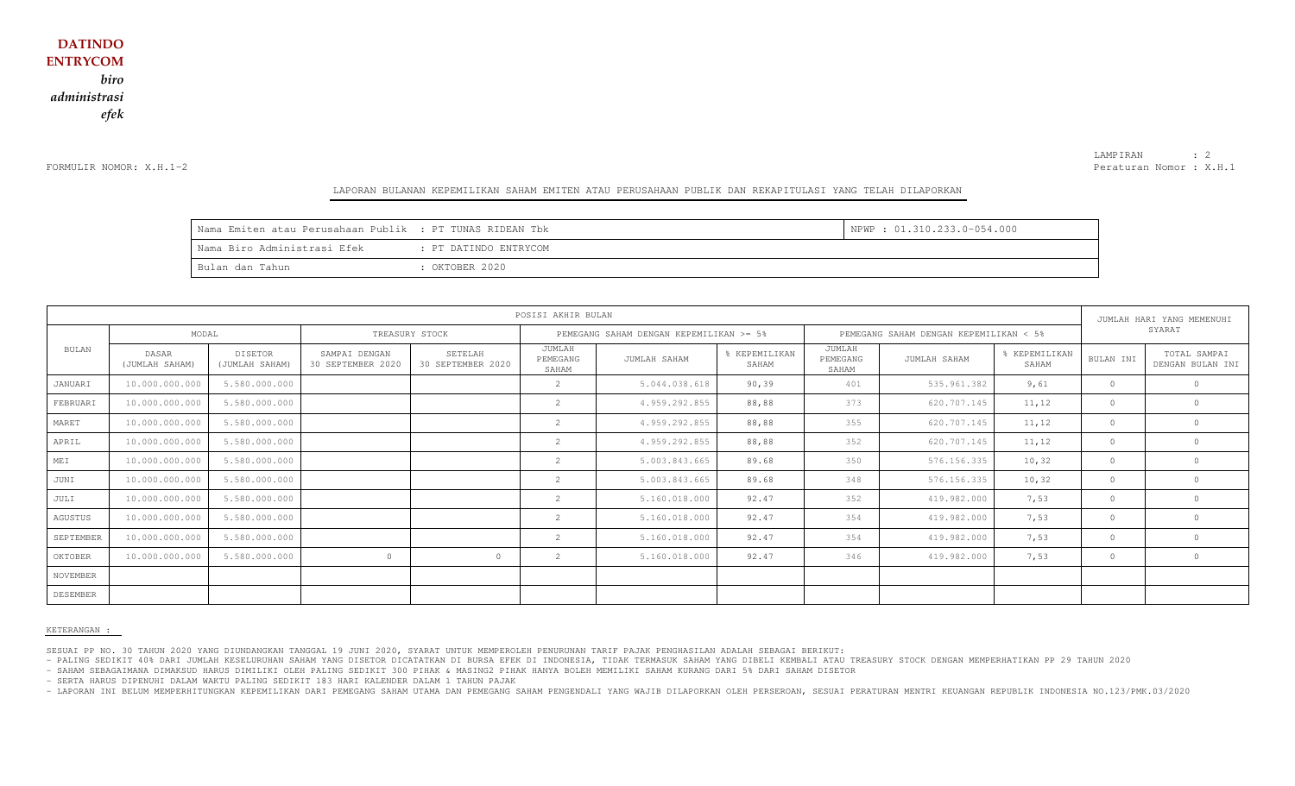FORMULIR NOMOR: X.H.1-2

LAMPIRAN : 2 Peraturan Nomor : X.H.1

#### LAPORAN BULANAN KEPEMILIKAN SAHAM EMITEN ATAU PERUSAHAAN PUBLIK DAN REKAPITULASI YANG TELAH DILAPORKAN

| Nama Emiten atau Perusahaan Publik : PT TUNAS RIDEAN Tbk |                       | NPWP: 01.310.233.0-054.000 |
|----------------------------------------------------------|-----------------------|----------------------------|
| Nama Biro Administrasi Efek                              | : PT DATINDO ENTRYCOM |                            |
| Bulan dan Tahun                                          | : OKTOBER 2020        |                            |

| POSISI AKHIR BULAN |                                |                                  |                                    |                              |                                         |               |                                        |                             |              | JUMLAH HARI YANG MEMENUHI |           |                                  |
|--------------------|--------------------------------|----------------------------------|------------------------------------|------------------------------|-----------------------------------------|---------------|----------------------------------------|-----------------------------|--------------|---------------------------|-----------|----------------------------------|
|                    | MODAL                          |                                  | TREASURY STOCK                     |                              | PEMEGANG SAHAM DENGAN KEPEMILIKAN >= 5% |               | PEMEGANG SAHAM DENGAN KEPEMILIKAN < 5% |                             |              | SYARAT                    |           |                                  |
| <b>BULAN</b>       | <b>DASAR</b><br>(JUMLAH SAHAM) | <b>DISETOR</b><br>(JUMLAH SAHAM) | SAMPAI DENGAN<br>30 SEPTEMBER 2020 | SETELAH<br>30 SEPTEMBER 2020 | <b>JUMLAH</b><br>PEMEGANG<br>SAHAM      | JUMLAH SAHAM  | % KEPEMILIKAN<br>SAHAM                 | JUMLAH<br>PEMEGANG<br>SAHAM | JUMLAH SAHAM | % KEPEMILIKAN<br>SAHAM    | BULAN INI | TOTAL SAMPAI<br>DENGAN BULAN INI |
| <b>JANUARI</b>     | 10.000.000.000                 | 5.580.000.000                    |                                    |                              | $\overline{2}$                          | 5.044.038.618 | 90, 39                                 | 401                         | 535.961.382  | 9,61                      | $\circ$   | $\circ$                          |
| FEBRUARI           | 10.000.000.000                 | 5.580.000.000                    |                                    |                              |                                         | 4.959.292.855 | 88,88                                  | 373                         | 620.707.145  | 11,12                     | $\circ$   | $\circ$                          |
| MARET              | 10.000.000.000                 | 5.580.000.000                    |                                    |                              |                                         | 4.959.292.855 | 88,88                                  | 355                         | 620.707.145  | 11, 12                    | $\circ$   | $\Omega$                         |
| APRIL              | 10.000.000.000                 | 5.580.000.000                    |                                    |                              | $\overline{2}$                          | 4.959.292.855 | 88,88                                  | 352                         | 620.707.145  | 11,12                     | $\circ$   | $\circ$                          |
| MEI                | 10.000.000.000                 | 5.580.000.000                    |                                    |                              |                                         | 5.003.843.665 | 89.68                                  | 350                         | 576.156.335  | 10, 32                    | $\circ$   | $\circ$                          |
| JUNI               | 10.000.000.000                 | 5.580.000.000                    |                                    |                              |                                         | 5.003.843.665 | 89.68                                  | 348                         | 576.156.335  | 10, 32                    | $\circ$   | $\circ$                          |
| JULI               | 10.000.000.000                 | 5.580.000.000                    |                                    |                              |                                         | 5.160.018.000 | 92.47                                  | 352                         | 419.982.000  | 7,53                      | $\circ$   | $\circ$                          |
| AGUSTUS            | 10.000.000.000                 | 5.580.000.000                    |                                    |                              |                                         | 5.160.018.000 | 92.47                                  | 354                         | 419.982.000  | 7,53                      | $\circ$   | $\Omega$                         |
| SEPTEMBER          | 10.000.000.000                 | 5.580.000.000                    |                                    |                              |                                         | 5.160.018.000 | 92.47                                  | 354                         | 419.982.000  | 7,53                      | $\circ$   | $\circ$                          |
| OKTOBER            | 10.000.000.000                 | 5.580.000.000                    | $\Omega$                           | $\Omega$                     |                                         | 5.160.018.000 | 92.47                                  | 346                         | 419.982.000  | 7,53                      | $\circ$   | $\circ$                          |
| NOVEMBER           |                                |                                  |                                    |                              |                                         |               |                                        |                             |              |                           |           |                                  |
| DESEMBER           |                                |                                  |                                    |                              |                                         |               |                                        |                             |              |                           |           |                                  |

KETERANGAN :

SESUAI PP NO. 30 TAHUN 2020 YANG DIUNDANGKAN TANGGAL 19 JUNI 2020, SYARAT UNTUK MEMPEROLEH PENURUNAN TARIF PAJAK PENGHASILAN ADALAH SEBAGAI BERIKUT:

- PALING SEDIKIT 40% DARI JUMLAH KESELURUHAN SAHAM YANG DISETOR DICATATKAN DI BURSA EFEK DI INDONESIA, TIDAK TERMASUK SAHAM YANG DIBELI KEMBALI ATAU TREASURY STOCK DENGAN MEMPERHATIKAN PP 29 TAHUN 2020

- SAHAM SEBAGAIMANA DIMAKSUD HARUS DIMILIKI OLEH PALING SEDIKIT 300 PIHAK & MASING2 PIHAK HANYA BOLEH MEMILIKI SAHAM KURANG DARI 5% DARI SAHAM DISETOR

- SERTA HARUS DIPENUHI DALAM WAKTU PALING SEDIKIT 183 HARI KALENDER DALAM 1 TAHUN PAJAK

- LAPORAN INI BELUM MEMPERHITUNGKAN KEPEMILIKAN DARI PEMEGANG SAHAM UTAMA DAN PEMEGANG SAHAM PENGENDALI YANG WAJIB DILAPORKAN OLEH PERSEROAN, SESUAI PERATURAN MENTRI KEUANGAN REPUBLIK INDONESIA NO.123/PMK.03/2020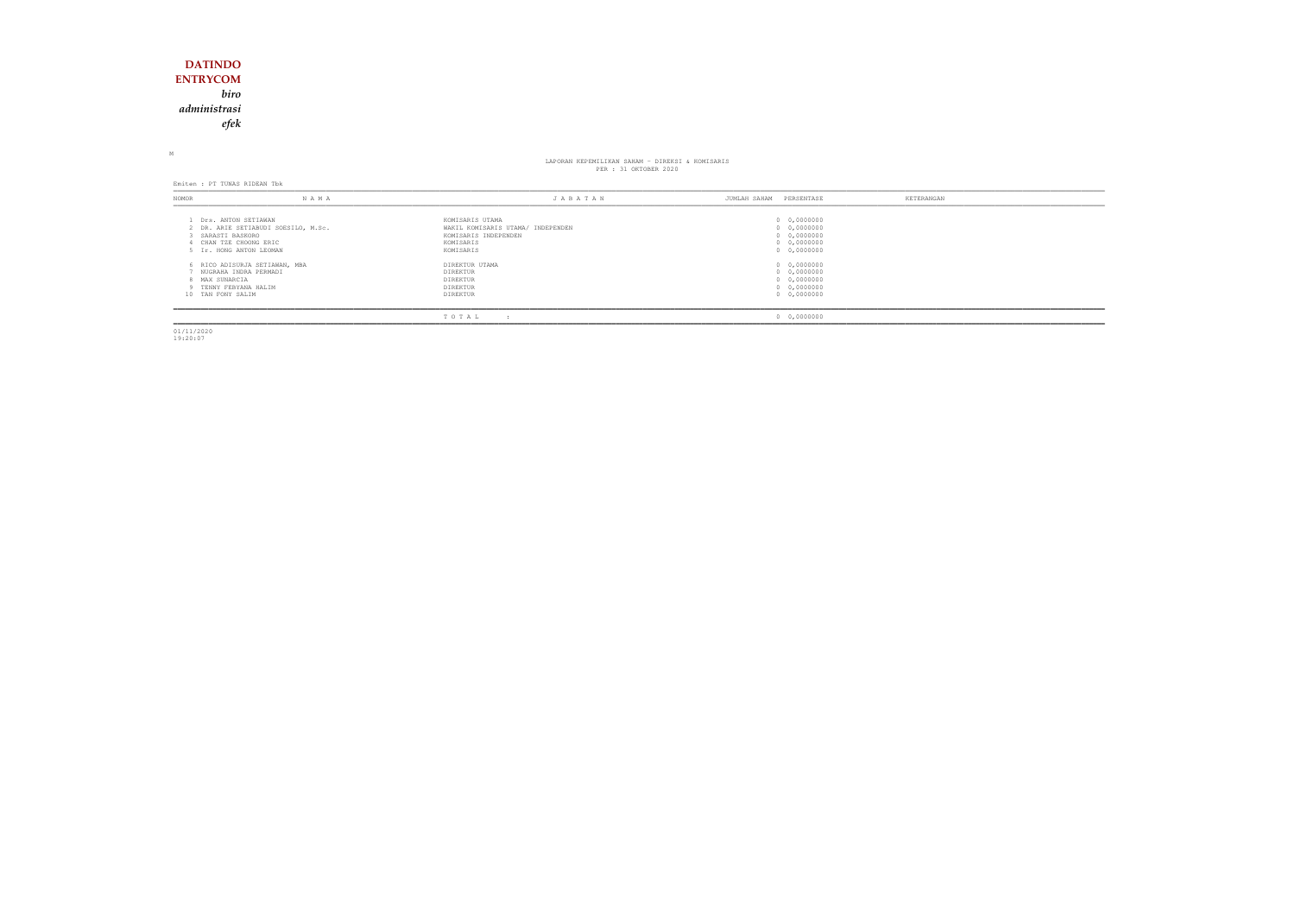### **DATINDO ENTRYCOM** *biro administrasiefek*

M

### LAPORAN KEPEMILIKAN SAHAM - DIREKSI & KOMISARIS PER : 31 OKTOBER 2020

Emiten : PT TUNAS RIDEAN Tbk

| NOMOR                               | N A M A                                                                                                                          | JABATAN                                                                                                | PERSENTASE<br>JUMLAH SAHAM                                              | KETERANGAN |
|-------------------------------------|----------------------------------------------------------------------------------------------------------------------------------|--------------------------------------------------------------------------------------------------------|-------------------------------------------------------------------------|------------|
|                                     | Drs. ANTON SETIAWAN<br>2 DR. ARIE SETIABUDI SOESILO, M.Sc.<br>SARASTI BASKORO<br>CHAN TZE CHOONG ERIC<br>5 Ir. HONG ANTON LEOMAN | KOMISARIS UTAMA<br>WAKIL KOMISARIS UTAMA/ INDEPENDEN<br>KOMISARIS INDEPENDEN<br>KOMISARIS<br>KOMISARIS | 0 0,0000000<br>0 0,0000000<br>0 0,0000000<br>0 0,0000000<br>0 0,0000000 |            |
| 8 MAX SUNARCIA<br>10 TAN FONY SALIM | 6 RICO ADISURJA SETIAWAN, MBA<br>NUGRAHA INDRA PERMADI<br>9 TENNY FEBYANA HALIM                                                  | DIREKTUR UTAMA<br>DIREKTUR<br>DIREKTUR<br>DIREKTUR<br>DIREKTUR                                         | 0 0,0000000<br>0 0,0000000<br>0 0,0000000<br>0 0,0000000<br>0 0,0000000 |            |
|                                     |                                                                                                                                  | TOTAL                                                                                                  | 0 0,0000000                                                             |            |

01/11/2020 19:20:07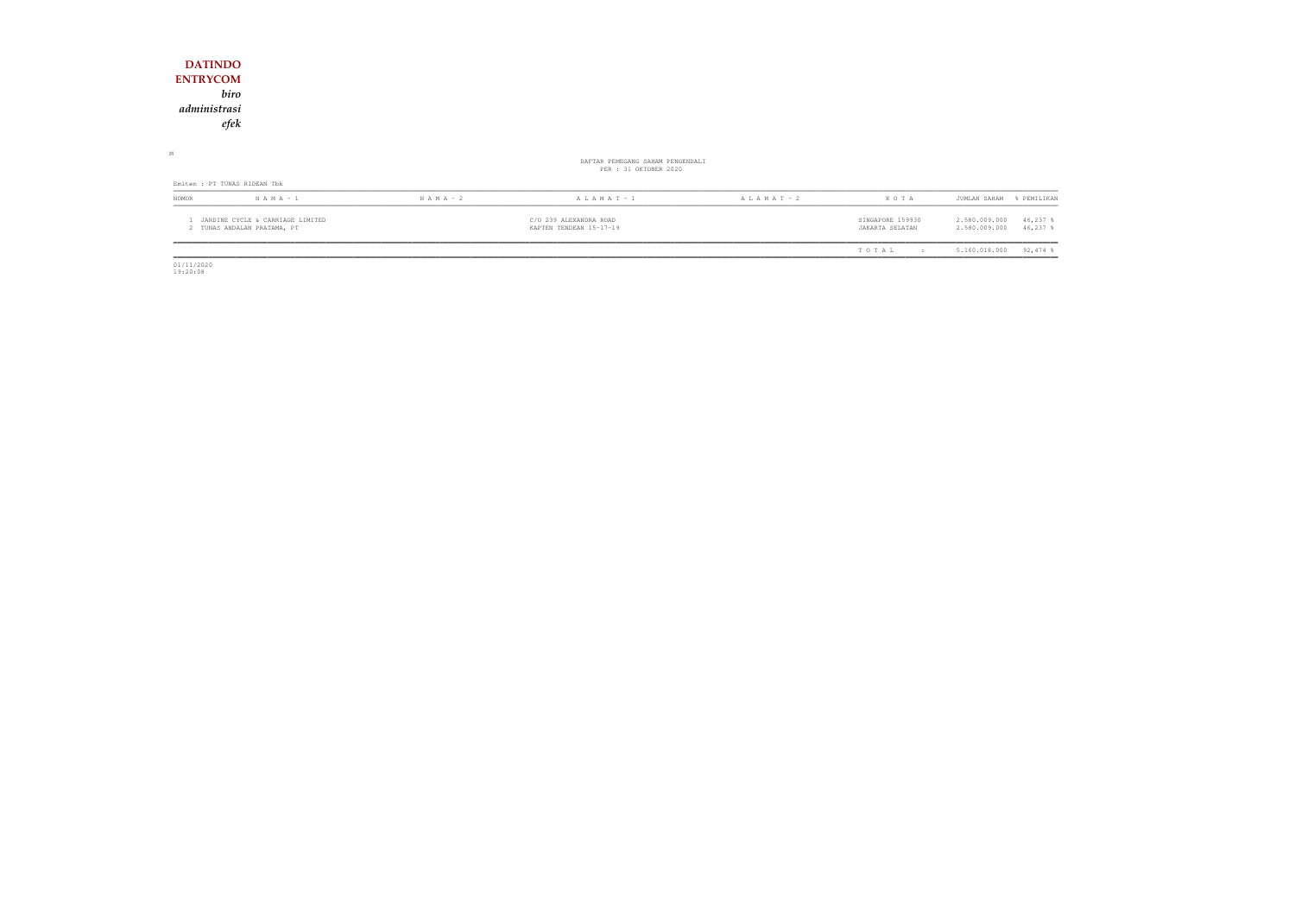| <b>DATINDO</b>                                                    |               |                                                           |                 |                                     |                                                           |
|-------------------------------------------------------------------|---------------|-----------------------------------------------------------|-----------------|-------------------------------------|-----------------------------------------------------------|
| <b>ENTRYCOM</b>                                                   |               |                                                           |                 |                                     |                                                           |
| biro                                                              |               |                                                           |                 |                                     |                                                           |
| administrasi                                                      |               |                                                           |                 |                                     |                                                           |
| efek                                                              |               |                                                           |                 |                                     |                                                           |
| М                                                                 |               |                                                           |                 |                                     |                                                           |
|                                                                   |               | DAFTAR PEMEGANG SAHAM PENGENDALI<br>PER : 31 OKTOBER 2020 |                 |                                     |                                                           |
| Emiten : PT TUNAS RIDEAN Tbk                                      |               |                                                           |                 |                                     |                                                           |
| $N A M A - 1$<br>NOMOR                                            | $N A M A - 2$ | A L A M A T - 1                                           | A L A M A T - 2 | KOTA                                | JUMLAH SAHAM<br>% PEMILIKAN                               |
| 1 JARDINE CYCLE & CARRIAGE LIMITED<br>2 TUNAS ANDALAN PRATAMA, PT |               | C/O 239 ALEXANDRA ROAD<br>KAPTEN TENDEAN 15-17-19         |                 | SINGAPORE 159930<br>JAKARTA SELATAN | 2.580.009.000<br>46,237 %<br>2.580.009.000<br>$46,237$ \$ |
|                                                                   |               |                                                           |                 | TOTAL<br>$\mathbf{r}$               | $92,474$ %<br>5.160.018.000                               |

 $\begin{array}{c} \hline \hline 01/11/2020 \\ 19:20:08 \end{array}$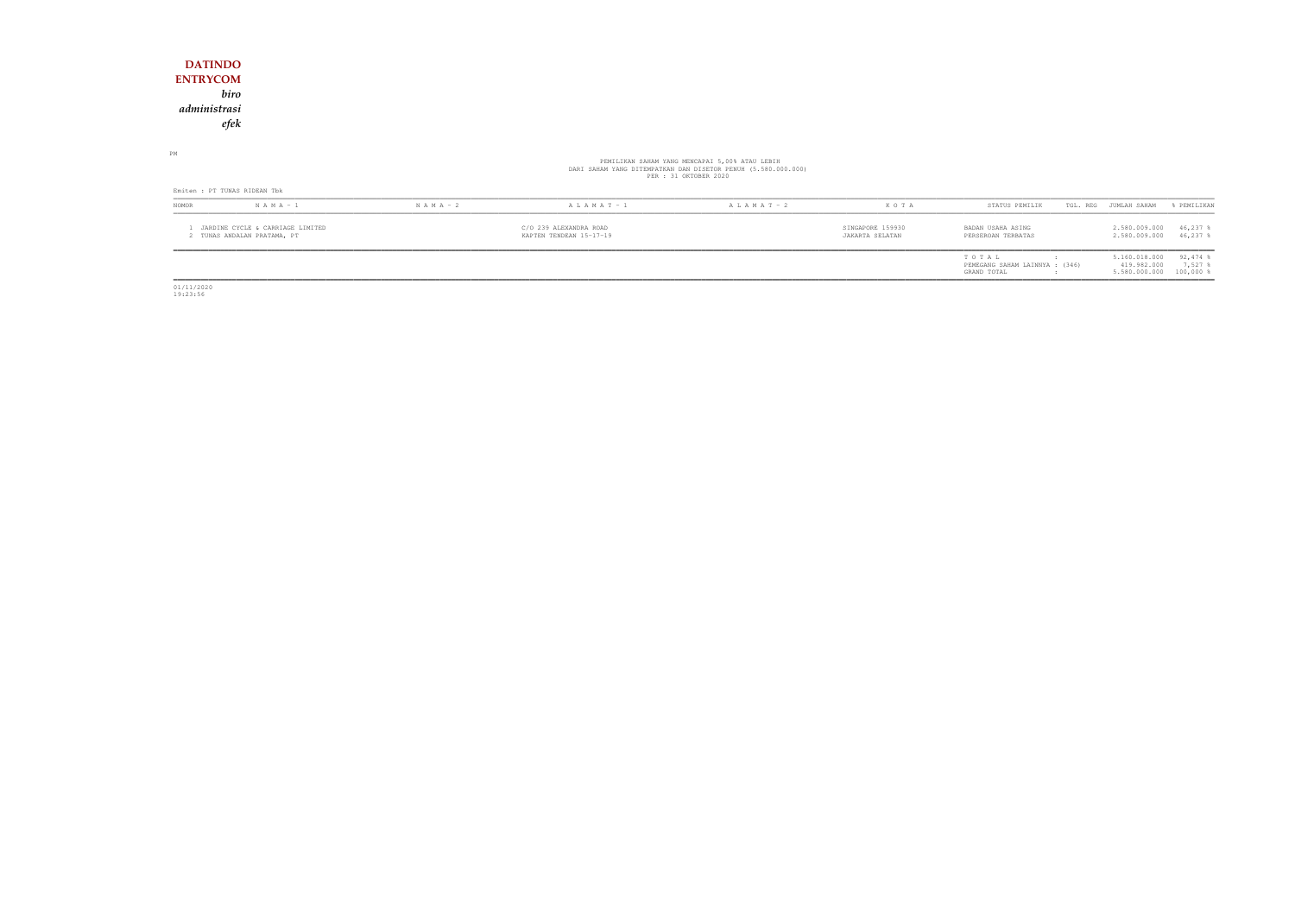#### **DATINDO ENTRYCOM** *biro administrasiefek*

PM

# PEMILIKAN SAHAM YANG MENCAPAI 5,00% ATAU LEBIH<br>DARI SAHAM YANG DITEMPATKAN DAN DISETOR PENUH (5.580.000.000)<br>PER : 31 OKTOBER 2020

|                                                               | Emiten : PT TUNAS RIDEAN Tbk |                                                   |                   |                 |                                     |                                                        |                                               |                                      |  |  |  |
|---------------------------------------------------------------|------------------------------|---------------------------------------------------|-------------------|-----------------|-------------------------------------|--------------------------------------------------------|-----------------------------------------------|--------------------------------------|--|--|--|
| <b>NOMOR</b>                                                  | $N A M A - 1$                | $N A M A - 2$                                     | $A L A M A T - 1$ | A L A M A T - 2 | KOTA                                | STATUS PEMILIK                                         | TGL. REG JUMLAH SAHAM                         | & PEMILIKAN                          |  |  |  |
| JARDINE CYCLE & CARRIAGE LIMITED<br>TUNAS ANDALAN PRATAMA, PT |                              | C/O 239 ALEXANDRA ROAD<br>KAPTEN TENDEAN 15-17-19 |                   |                 | SINGAPORE 159930<br>JAKARTA SELATAN | BADAN USAHA ASING<br>PERSEROAN TERBATAS                | 2.580.009.000<br>2.580.009.000                | 46,237<br>46,237 \$                  |  |  |  |
|                                                               |                              |                                                   |                   |                 |                                     | TOTAL<br>PEMEGANG SAHAM LAINNYA : (346)<br>GRAND TOTAL | 5.160.018.000<br>419.982.000<br>5.580.000.000 | $92,474$ \$<br>7,527<br>$100,000$ \$ |  |  |  |

01/11/2020 19:23:56